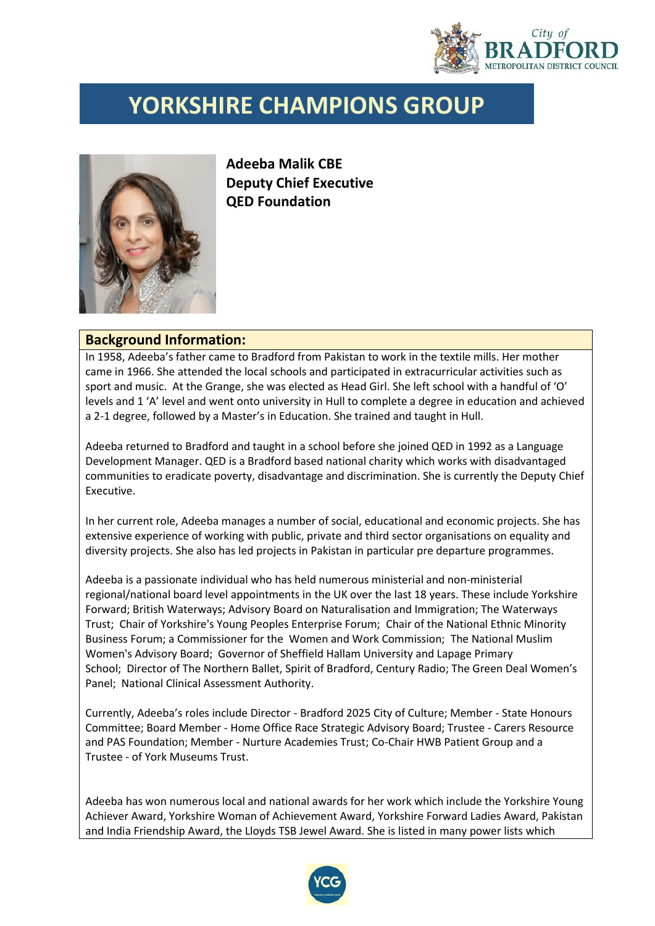

## **YORKSHIRE CHAMPIONS GROUP**



**Adeeba Malik CBE Deputy Chief Executive QED Foundation**

## **Background Information:**

In 1958, Adeeba's father came to Bradford from Pakistan to work in the textile mills. Her mother came in 1966. She attended the local schools and participated in extracurricular activities such as sport and music. At the Grange, she was elected as Head Girl. She left school with a handful of 'O' levels and 1 'A' level and went onto university in Hull to complete a degree in education and achieved a 2-1 degree, followed by a Master's in Education. She trained and taught in Hull.

Adeeba returned to Bradford and taught in a school before she joined QED in 1992 as a Language Development Manager. QED is a Bradford based national charity which works with disadvantaged communities to eradicate poverty, disadvantage and discrimination. She is currently the Deputy Chief Executive.

In her current role, Adeeba manages a number of social, educational and economic projects. She has extensive experience of working with public, private and third sector organisations on equality and diversity projects. She also has led projects in Pakistan in particular pre departure programmes.

Adeeba is a passionate individual who has held numerous ministerial and non-ministerial regional/national board level appointments in the UK over the last 18 years. These include Yorkshire Forward; British Waterways; Advisory Board on Naturalisation and Immigration; The Waterways Trust; Chair of Yorkshire's Young Peoples Enterprise Forum; Chair of the National Ethnic Minority Business Forum; a Commissioner for the Women and Work Commission; The National Muslim Women's Advisory Board; Governor of Sheffield Hallam University and Lapage Primary School; Director of The Northern Ballet, Spirit of Bradford, Century Radio; The Green Deal Women's Panel; National Clinical Assessment Authority.

Currently, Adeeba's roles include Director - Bradford 2025 City of Culture; Member - State Honours Committee; Board Member - Home Office Race Strategic Advisory Board; Trustee - Carers Resource and PAS Foundation; Member - Nurture Academies Trust; Co-Chair HWB Patient Group and a Trustee - of York Museums Trust.

Adeeba has won numerous local and national awards for her work which include the Yorkshire Young Achiever Award, Yorkshire Woman of Achievement Award, Yorkshire Forward Ladies Award, Pakistan and India Friendship Award, the Lloyds TSB Jewel Award. She is listed in many power lists which